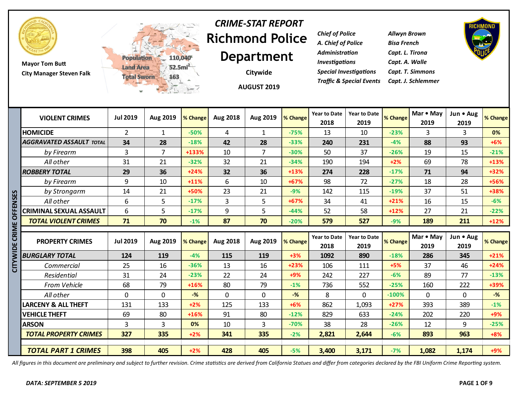

**Mayor Tom Butt City Manager Steven Falk**



### **Richmond Police Department** *CRIME-STAT REPORT*

**Citywide**

*Chief of Police Allwyn Brown A. Chief of Police Bisa French Administration Capt. L. Tirona Investigations Capt. A. Walle Special Investigations Capt. T. Simmons Traffic & Special Events Capt. J. Schlemmer*



|          |                                 | <b>TEL</b>      | 二元 1-7         |          |             | <b>AUGUST 2019</b> |          |                             |                             |          |                   |                   |                    |
|----------|---------------------------------|-----------------|----------------|----------|-------------|--------------------|----------|-----------------------------|-----------------------------|----------|-------------------|-------------------|--------------------|
|          | <b>VIOLENT CRIMES</b>           | <b>Jul 2019</b> | Aug 2019       | % Change | Aug 2018    | Aug 2019           | % Change | <b>Year to Date</b><br>2018 | <b>Year to Date</b><br>2019 | % Change | Mar • May<br>2019 | Jun • Aug<br>2019 | % Change           |
|          | <b>HOMICIDE</b>                 | 2               | $\mathbf{1}$   | $-50%$   | 4           | $\mathbf{1}$       | $-75%$   | 13                          | 10                          | $-23%$   | 3                 | 3                 | 0%                 |
|          | <b>AGGRAVATED ASSAULT TOTAL</b> | 34              | 28             | $-18%$   | 42          | 28                 | $-33%$   | 240                         | 231                         | $-4%$    | 88                | 93                | $+6%$              |
|          | by Firearm                      | $\overline{3}$  | $\overline{7}$ | +133%    | 10          | $\overline{7}$     | $-30%$   | 50                          | 37                          | $-26%$   | 19                | 15                | $-21%$             |
|          | All other                       | 31              | 21             | $-32%$   | 32          | 21                 | $-34%$   | 190                         | 194                         | $+2%$    | 69                | 78                | $+13%$             |
|          | <b>ROBBERY TOTAL</b>            | 29              | 36             | $+24%$   | 32          | 36                 | +13%     | 274                         | 228                         | $-17%$   | 71                | 94                | $+32%$             |
|          | by Firearm                      | 9               | 10             | $+11%$   | 6           | 10                 | $+67%$   | 98                          | 72                          | $-27%$   | 18                | 28                | +56%               |
|          | by Strongarm                    | 14              | 21             | +50%     | 23          | 21                 | $-9%$    | 142                         | 115                         | $-19%$   | 37                | 51                | +38%               |
| ENSES    | All other                       | 6               | 5              | $-17%$   | 3           | 5                  | $+67%$   | 34                          | 41                          | $+21%$   | 16                | 15                | $-6%$              |
|          | <b>CRIMINAL SEXUAL ASSAULT</b>  | 6               | 5              | $-17%$   | 9           | 5                  | $-44%$   | 52                          | 58                          | $+12%$   | 27                | 21                | $-22%$             |
| CRIME OI | <b>TOTAL VIOLENT CRIMES</b>     | 71              | 70             | $-1%$    | 87          | 70                 | $-20%$   | 579                         | 527                         | $-9%$    | 189               | 211               | $+12%$             |
|          |                                 |                 |                |          |             |                    |          |                             |                             |          |                   |                   |                    |
|          | <b>PROPERTY CRIMES</b>          | <b>Jul 2019</b> | Aug 2019       | % Change | Aug 2018    | Aug 2019           | % Change | <b>Year to Date</b><br>2018 | <b>Year to Date</b><br>2019 | % Change | Mar • May<br>2019 | Jun • Aug<br>2019 |                    |
| ğ        | <b>BURGLARY TOTAL</b>           | 124             | 119            | $-4%$    | 115         | 119                | $+3%$    | 1092                        | 890                         | $-18%$   | 286               | 345               | $+21%$             |
|          | Commercial                      | 25              | 16             | $-36%$   | 13          | 16                 | $+23%$   | 106                         | 111                         | $+5%$    | 37                | 46                | $+24%$             |
| 즈<br>U   | Residential                     | 31              | 24             | $-23%$   | 22          | 24                 | $+9%$    | 242                         | 227                         | $-6%$    | 89                | 77                | $-13%$             |
|          | From Vehicle                    | 68              | 79             | $+16%$   | 80          | 79                 | $-1%$    | 736                         | 552                         | $-25%$   | 160               | 222               | +39%               |
|          | All other                       | $\mathbf 0$     | $\Omega$       | $-$ %    | $\mathbf 0$ | $\mathbf{0}$       | $-%$     | 8                           | 0                           | $-100%$  | $\Omega$          | $\mathbf 0$       | $-$ %              |
|          | <b>LARCENY &amp; ALL THEFT</b>  | 131             | 133            | $+2%$    | 125         | 133                | $+6%$    | 862                         | 1,093                       | $+27%$   | 393               | 389               | $-1%$              |
|          | <b>VEHICLE THEFT</b>            | 69              | 80             | $+16%$   | 91          | 80                 | $-12%$   | 829                         | 633                         | $-24%$   | 202               | 220               | +9%                |
|          | <b>ARSON</b>                    | 3               | 3              | 0%       | 10          | 3                  | $-70%$   | 38                          | 28                          | $-26%$   | 12                | 9                 | % Change<br>$-25%$ |
|          | <b>TOTAL PROPERTY CRIMES</b>    | 327             | 335            | $+2%$    | 341         | 335                | $-2%$    | 2,821                       | 2,644                       | $-6%$    | 893               | 963               | $+8%$              |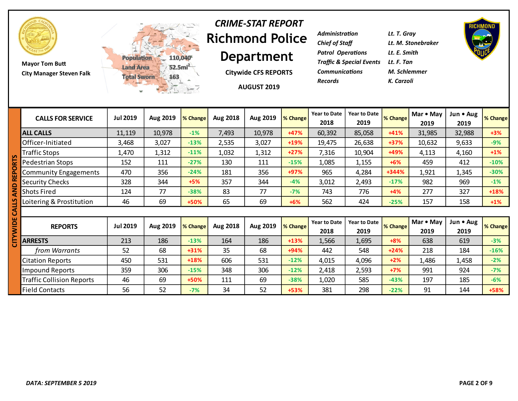

**Mayor Tom Butt City Manager Steven Falk**



#### **Richmond Police Department** *CRIME-STAT REPORT*

**Citywide CFS REPORTS**

**AUGUST 2019**

| Administration                      | Lt. T. Gray        |
|-------------------------------------|--------------------|
| Chief of Staff                      | Lt. M. Stonebraker |
| <b>Patrol Operations</b>            | Lt. E. Smith       |
| Traffic & Special Events Lt. F. Tan |                    |
| <b>Communications</b>               | M. Schlemmer       |
| Records                             | K. Carzoli         |



|   | <b>CALLS FOR SERVICE</b>         | <b>Jul 2019</b> | Aug 2019 | % Change | <b>Aug 2018</b> | Aug 2019 | % Change | <b>Year to Date</b><br>2018 | <b>Year to Date</b><br>2019 | % Change | Mar • May<br>2019 | Jun • Aug<br>2019 | % Change |
|---|----------------------------------|-----------------|----------|----------|-----------------|----------|----------|-----------------------------|-----------------------------|----------|-------------------|-------------------|----------|
|   | <b>ALL CALLS</b>                 | 11,119          | 10,978   | $-1%$    | 7,493           | 10,978   | +47%     | 60,392                      | 85,058                      | $+41%$   | 31,985            | 32,988            | $+3%$    |
|   | Officer-Initiated                | 3,468           | 3,027    | $-13%$   | 2,535           | 3,027    | +19%     | 19,475                      | 26,638                      | $+37%$   | 10,632            | 9,633             | $-9%$    |
| ഗ | <b>Traffic Stops</b>             | 1,470           | 1,312    | $-11%$   | 1,032           | 1,312    | $+27%$   | 7,316                       | 10,904                      | +49%     | 4,113             | 4,160             | $+1\%$   |
|   | Pedestrian Stops                 | 152             | 111      | $-27%$   | 130             | 111      | $-15%$   | 1,085                       | 1,155                       | $+6%$    | 459               | 412               | $-10%$   |
|   | <b>Community Engagements</b>     | 470             | 356      | $-24%$   | 181             | 356      | +97%     | 965                         | 4,284                       | +344%    | 1,921             | 1,345             | $-30%$   |
|   | <b>Security Checks</b>           | 328             | 344      | $+5%$    | 357             | 344      | $-4%$    | 3,012                       | 2,493                       | $-17%$   | 982               | 969               | $-1%$    |
|   | <b>Shots Fired</b>               | 124             | 77       | $-38%$   | 83              | 77       | $-7%$    | 743                         | 776                         | $+4%$    | 277               | 327               | $+18%$   |
|   | Loitering & Prostitution         | 46              | 69       | +50%     | 65              | 69       | $+6%$    | 562                         | 424                         | $-25%$   | 157               | 158               | $+1\%$   |
|   |                                  |                 |          |          |                 |          |          |                             |                             |          |                   |                   |          |
|   | <b>REPORTS</b>                   | <b>Jul 2019</b> | Aug 2019 | % Change | Aug 2018        | Aug 2019 | % Change | <b>Year to Date</b><br>2018 | <b>Year to Date</b><br>2019 | % Change | Mar • May<br>2019 | Jun • Aug<br>2019 | % Change |
|   | <b>ARRESTS</b>                   | 213             | 186      | $-13%$   | 164             | 186      | $+13%$   | 1,566                       | 1,695                       | $+8%$    | 638               | 619               | $-3%$    |
|   | from Warrants                    | 52              | 68       | $+31%$   | 35              | 68       | $+94%$   | 442                         | 548                         | $+24%$   | 218               | 184               | $-16%$   |
|   | <b>Citation Reports</b>          | 450             | 531      | $+18%$   | 606             | 531      | $-12%$   | 4,015                       | 4,096                       | $+2%$    | 1,486             | 1,458             | $-2%$    |
|   | <b>Impound Reports</b>           | 359             | 306      | $-15%$   | 348             | 306      | $-12%$   | 2,418                       | 2,593                       | $+7%$    | 991               | 924               | $-7%$    |
|   | <b>Traffic Collision Reports</b> | 46              | 69       | +50%     | 111             | 69       | $-38%$   | 1,020                       | 585                         | $-43%$   | 197               | 185               | $-6%$    |
|   | <b>Field Contacts</b>            | 56              | 52       | $-7%$    | 34              | 52       | +53%     | 381                         | 298                         | $-22%$   | 91                | 144               | +58%     |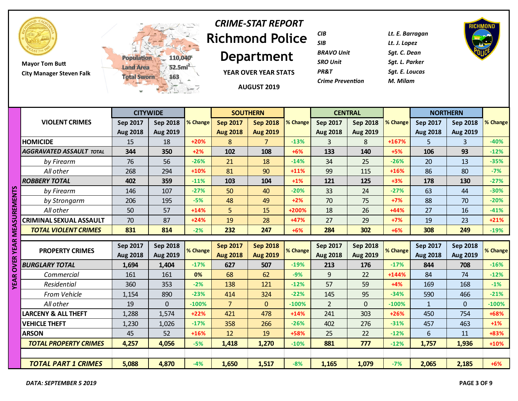

**Mayor Tom Butt City Manager Steven Falk**



# **Richmond Police**  *CRIME-STAT REPORT*

**Department**

**YEAR OVER YEAR STATS**

**AUGUST 2019**

| CIB                     | Lt. E. Barragan |
|-------------------------|-----------------|
| SIB                     | Lt. J. Lopez    |
| <b>BRAVO Unit</b>       | Sat. C. Dean    |
| SRO Unit                | Sat. L. Parker  |
| PR&T                    | Sat. E. Loucas  |
| <b>Crime Prevention</b> | M. Milam        |
|                         |                 |



|                               |                                 |                 | <b>CITYWIDE</b> |          |                 | <b>SOUTHERN</b> |          |                 | <b>CENTRAL</b>  |          | <b>NORTHERN</b> |                 |          |
|-------------------------------|---------------------------------|-----------------|-----------------|----------|-----------------|-----------------|----------|-----------------|-----------------|----------|-----------------|-----------------|----------|
|                               | <b>VIOLENT CRIMES</b>           | Sep 2017        | <b>Sep 2018</b> | % Change | <b>Sep 2017</b> | <b>Sep 2018</b> | % Change | Sep 2017        | <b>Sep 2018</b> | % Change | Sep 2017        | <b>Sep 2018</b> | % Change |
|                               |                                 | Aug 2018        | Aug 2019        |          | <b>Aug 2018</b> | <b>Aug 2019</b> |          | <b>Aug 2018</b> | <b>Aug 2019</b> |          | <b>Aug 2018</b> | Aug 2019        |          |
|                               | <b>HOMICIDE</b>                 | 15              | 18              | $+20%$   | 8               | 7               | $-13%$   | 3               | 8               | +167%    | 5.              | 3               | $-40%$   |
|                               | <b>AGGRAVATED ASSAULT TOTAL</b> | 344             | 350             | $+2%$    | 102             | 108             | $+6%$    | 133             | 140             | $+5%$    | 106             | 93              | $-12%$   |
|                               | by Firearm                      | 76              | 56              | $-26%$   | 21              | 18              | $-14%$   | 34              | 25              | $-26%$   | 20              | 13              | $-35%$   |
|                               | All other                       | 268             | 294             | $+10%$   | 81              | 90              | $+11%$   | 99              | 115             | $+16%$   | 86              | 80              | $-7%$    |
|                               | <b>ROBBERY TOTAL</b>            | 402             | 359             | $-11%$   | 103             | 104             | $+1%$    | 121             | 125             | $+3%$    | 178             | 130             | $-27%$   |
|                               | by Firearm                      | 146             | 107             | $-27%$   | 50              | 40              | $-20%$   | 33              | 24              | $-27%$   | 63              | 44              | $-30%$   |
|                               | by Strongarm                    | 206             | 195             | $-5%$    | 48              | 49              | $+2%$    | 70              | 75              | $+7%$    | 88              | 70              | $-20%$   |
|                               | All other                       | 50              | 57              | $+14%$   | 5               | 15              | +200%    | 18              | 26              | $+44%$   | 27              | 16              | $-41%$   |
|                               | CRIMINAL SEXUAL ASSAULT         | 70              | 87              | $+24%$   | 19              | 28              | $+47%$   | 27              | 29              | $+7%$    | 19              | 23              | $+21%$   |
| <b>OVER YEAR MEASUREMENTS</b> | <b>TOTAL VIOLENT CRIMES</b>     | 831             | 814             | $-2%$    | 232             | 247             | $+6%$    | 284             | 302             | $+6%$    | 308             | 249             | $-19%$   |
|                               |                                 |                 |                 |          |                 |                 |          |                 |                 |          |                 |                 |          |
|                               | <b>PROPERTY CRIMES</b>          | Sep 2017        | Sep 2018        | % Change | <b>Sep 2017</b> | <b>Sep 2018</b> | % Change | Sep 2017        | <b>Sep 2018</b> | % Change | Sep 2017        | Sep 2018        | % Change |
|                               |                                 | <b>Aug 2018</b> | <b>Aug 2019</b> |          | <b>Aug 2018</b> | <b>Aug 2019</b> |          | <b>Aug 2018</b> | <b>Aug 2019</b> |          | <b>Aug 2018</b> | Aug 2019        |          |
|                               | <b>BURGLARY TOTAL</b>           | 1,694           | 1,404           | $-17%$   | 627             | 507             | $-19%$   | 213             | 176             | $-17%$   | 844             | 708             | $-16%$   |
|                               | Commercial                      | 161             | 161             | 0%       | 68              | 62              | $-9%$    | 9               | 22              | $+144%$  | 84              | 74              | $-12%$   |
| <b>YEAR</b>                   | Residential                     | 360             | 353             | $-2%$    | 138             | 121             | $-12%$   | 57              | 59              | $+4%$    | 169             | 168             | $-1%$    |
|                               | From Vehicle                    | 1,154           | 890             | $-23%$   | 414             | 324             | $-22%$   | 145             | 95              | $-34%$   | 590             | 466             | $-21%$   |
|                               | All other                       | 19              | $\mathbf{0}$    | $-100%$  | 7 <sup>1</sup>  | $\mathbf{0}$    | $-100%$  | $\overline{2}$  | $\mathbf{0}$    | $-100%$  | $\mathbf{1}$    | $\mathbf{0}$    | $-100%$  |
|                               | <b>LARCENY &amp; ALL THEFT</b>  | 1,288           | 1,574           | $+22%$   | 421             | 478             | $+14%$   | 241             | 303             | $+26%$   | 450             | 754             | +68%     |
|                               | <b>VEHICLE THEFT</b>            | 1,230           | 1,026           | $-17%$   | 358             | 266             | $-26%$   | 402             | 276             | $-31%$   | 457             | 463             | $+1\%$   |
|                               | <b>ARSON</b>                    | 45              | 52              | $+16%$   | 12              | 19              | +58%     | 25              | 22              | $-12%$   | 6               | 11              | +83%     |
|                               | <b>TOTAL PROPERTY CRIMES</b>    | 4,257           | 4,056           | $-5%$    | 1,418           | 1,270           | $-10%$   | 881             | 777             | $-12%$   | 1,757           | 1,936           | $+10%$   |
|                               |                                 |                 |                 |          |                 |                 |          |                 |                 |          |                 |                 |          |
|                               | <b>TOTAL PART 1 CRIMES</b>      | 5,088           | 4,870           | $-4%$    | 1,650           | 1,517           | $-8%$    | 1,165           | 1,079           | $-7%$    | 2,065           | 2,185           | $+6%$    |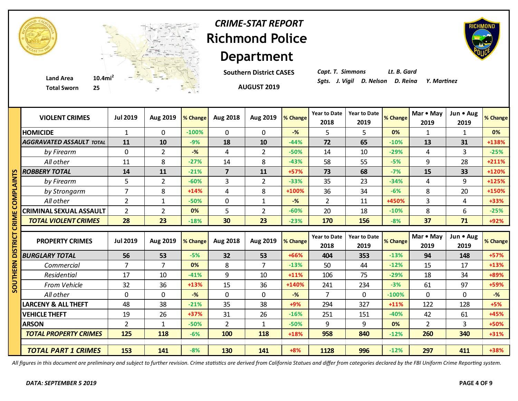

**Southern District CASES**



*Capt. T. Simmons Lt. B. Gard*

|               | <b>Total Sworn</b><br>25        |                 | $\mathcal{C}$  |          |                         | <b>AUGUST 2019</b> |                |                             |                             |          |                   |                   |          |
|---------------|---------------------------------|-----------------|----------------|----------|-------------------------|--------------------|----------------|-----------------------------|-----------------------------|----------|-------------------|-------------------|----------|
|               | <b>VIOLENT CRIMES</b>           | <b>Jul 2019</b> | Aug 2019       | % Change | <b>Aug 2018</b>         | Aug 2019           | % Change       | <b>Year to Date</b><br>2018 | <b>Year to Date</b><br>2019 | % Change | Mar • May<br>2019 | Jun . Aug<br>2019 | % Change |
|               | <b>HOMICIDE</b>                 | $\mathbf{1}$    | $\mathbf 0$    | $-100%$  | $\mathbf 0$             | $\mathbf 0$        | $-\frac{9}{6}$ | 5                           | 5                           | 0%       | 1                 | $\mathbf{1}$      | 0%       |
|               | <b>AGGRAVATED ASSAULT TOTAL</b> | 11              | 10             | $-9%$    | 18                      | 10                 | $-44%$         | 72                          | 65                          | $-10%$   | 13                | 31                | +138%    |
|               | by Firearm                      | 0               | $\overline{2}$ | $-%$     | $\overline{4}$          | $\overline{2}$     | $-50%$         | 14                          | 10                          | $-29%$   | 4                 | 3                 | $-25%$   |
|               | All other                       | 11              | 8              | $-27%$   | 14                      | 8                  | $-43%$         | 58                          | 55                          | $-5%$    | 9                 | 28                | $+211%$  |
| n             | <b>ROBBERY TOTAL</b>            | 14              | 11             | $-21%$   | $\overline{\mathbf{z}}$ | 11                 | $+57%$         | 73                          | 68                          | $-7%$    | 15                | 33                | +120%    |
|               | by Firearm                      | 5               | $\overline{2}$ | $-60%$   | 3                       | $\overline{2}$     | $-33%$         | 35                          | 23                          | $-34%$   | 4                 | 9                 | +125%    |
| <b>NPLAIN</b> | by Strongarm                    | $\overline{7}$  | 8              | $+14%$   | 4                       | 8                  | +100%          | 36                          | 34                          | $-6%$    | 8                 | 20                | +150%    |
| Ō             | All other                       | $\overline{2}$  | $\mathbf{1}$   | $-50%$   | $\mathbf 0$             | 1                  | $-%$           | $\overline{2}$              | 11                          | +450%    | 3                 | $\overline{4}$    | +33%     |
|               | <b>CRIMINAL SEXUAL ASSAULT</b>  | $\overline{2}$  | $\overline{2}$ | 0%       | 5                       | $\overline{2}$     | $-60%$         | 20                          | 18                          | $-10%$   | 8                 | 6                 | $-25%$   |
|               | <b>TOTAL VIOLENT CRIMES</b>     | 28              | 23             | $-18%$   | 30                      | 23                 | $-23%$         | 170                         | 156                         | $-8%$    | 37                | 71                | +92%     |
| ō             |                                 |                 |                |          |                         |                    |                |                             |                             |          |                   |                   |          |
| ن<br>ھ        | <b>PROPERTY CRIMES</b>          | <b>Jul 2019</b> | Aug 2019       | % Change | Aug 2018                | Aug 2019           | % Change       | <b>Year to Date</b><br>2018 | <b>Year to Date</b><br>2019 | % Change | Mar • May<br>2019 | Jun . Aug<br>2019 | % Change |
|               | <b>BURGLARY TOTAL</b>           | 56              | 53             | $-5%$    | 32                      | 53                 | +66%           | 404                         | 353                         | $-13%$   | 94                | 148               | +57%     |
| ERN           | Commercial                      | $\overline{7}$  | 7              | 0%       | 8                       | $\overline{7}$     | $-13%$         | 50                          | 44                          | $-12%$   | 15                | 17                | $+13%$   |
|               | Residential                     | 17              | 10             | $-41%$   | 9                       | 10                 | $+11%$         | 106                         | 75                          | $-29%$   | 18                | 34                | +89%     |
| 2             | From Vehicle                    | 32              | 36             | $+13%$   | 15                      | 36                 | +140%          | 241                         | 234                         | $-3%$    | 61                | 97                | +59%     |
|               |                                 |                 |                |          |                         |                    |                |                             |                             |          |                   |                   |          |
|               | All other                       | 0               | $\mathbf 0$    | $-%$     | $\mathbf 0$             | $\mathbf{0}$       | $-$ %          | $\overline{7}$              | $\mathbf 0$                 | $-100%$  | $\mathbf{0}$      | $\mathbf 0$       | $-$ %    |
|               | <b>LARCENY &amp; ALL THEFT</b>  | 48              | 38             | $-21%$   | 35                      | 38                 | $+9%$          | 294                         | 327                         | $+11%$   | 122               | 128               | $+5%$    |
|               | <b>VEHICLE THEFT</b>            | 19              | 26             | +37%     | 31                      | 26                 | $-16%$         | 251                         | 151                         | $-40%$   | 42                | 61                | +45%     |
|               | <b>ARSON</b>                    | $\overline{2}$  | $\mathbf{1}$   | $-50%$   | $\overline{2}$          | 1                  | $-50%$         | 9                           | 9                           | 0%       | $\overline{2}$    | 3                 | +50%     |
|               | <b>TOTAL PROPERTY CRIMES</b>    | 125             | 118            | $-6%$    | 100                     | 118                | +18%           | 958                         | 840                         | $-12%$   | 260               | 340               | $+31%$   |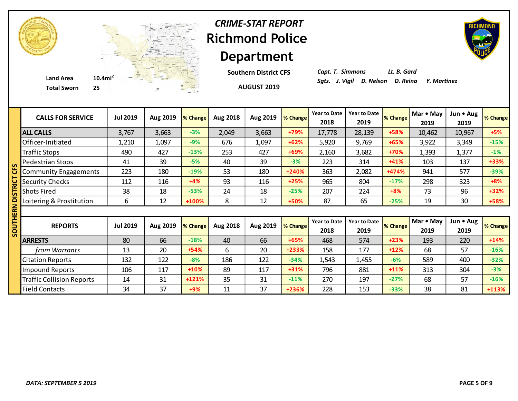

**Southern District CFS**

**AUGUST 2019**



*Capt. T. Simmons Lt. B. Gard*

|                                  |                 |          |          |          |          |          | <b>Year to Date</b> | <b>Year to Date</b> |          | Mar • May | Jun • Aug |          |
|----------------------------------|-----------------|----------|----------|----------|----------|----------|---------------------|---------------------|----------|-----------|-----------|----------|
| <b>CALLS FOR SERVICE</b>         | <b>Jul 2019</b> | Aug 2019 | % Change | Aug 2018 | Aug 2019 | % Change | 2018                | 2019                | % Change | 2019      | 2019      | % Change |
| <b>ALL CALLS</b>                 | 3,767           | 3,663    | $-3%$    | 2,049    | 3,663    | +79%     | 17,778              | 28,139              | +58%     | 10,462    | 10,967    | $+5%$    |
| Officer-Initiated                | 1,210           | 1,097    | $-9%$    | 676      | 1,097    | $+62%$   | 5,920               | 9,769               | $+65%$   | 3,922     | 3,349     | $-15%$   |
| <b>Traffic Stops</b>             | 490             | 427      | $-13%$   | 253      | 427      | +69%     | 2,160               | 3,682               | +70%     | 1,393     | 1,377     | $-1%$    |
| Pedestrian Stops                 | 41              | 39       | $-5%$    | 40       | 39       | $-3%$    | 223                 | 314                 | $+41%$   | 103       | 137       | $+33%$   |
| <b>Community Engagements</b>     | 223             | 180      | $-19%$   | 53       | 180      | +240%    | 363                 | 2,082               | +474%    | 941       | 577       | $-39%$   |
| <b>Security Checks</b>           | 112             | 116      | $+4%$    | 93       | 116      | $+25%$   | 965                 | 804                 | $-17%$   | 298       | 323       | $+8%$    |
| <b>Shots Fired</b>               | 38              | 18       | $-53%$   | 24       | 18       | $-25%$   | 207                 | 224                 | $+8%$    | 73        | 96        | $+32%$   |
| Loitering & Prostitution         | 6               | 12       | +100%    | 8        | 12       | +50%     | 87                  | 65                  | $-25%$   | 19        | 30        | +58%     |
|                                  |                 |          |          |          |          |          |                     |                     |          |           |           |          |
| <b>REPORTS</b>                   | <b>Jul 2019</b> | Aug 2019 | % Change | Aug 2018 | Aug 2019 | % Change | <b>Year to Date</b> | <b>Year to Date</b> | % Change | Mar • May | Jun • Aug | % Change |
|                                  |                 |          |          |          |          |          | 2018                | 2019                |          | 2019      | 2019      |          |
| <b>ARRESTS</b>                   | 80              | 66       | $-18%$   | 40       | 66       | +65%     | 468                 | 574                 | +23%     | 193       | 220       | $+14%$   |
| from Warrants                    | 13              | 20       | $+54%$   | 6        | 20       | +233%    | 158                 | 177                 | $+12%$   | 68        | 57        | $-16%$   |
| <b>Citation Reports</b>          | 132             | 122      | $-8%$    | 186      | 122      | $-34%$   | 1,543               | 1,455               | $-6%$    | 589       | 400       | $-32%$   |
| <b>Impound Reports</b>           | 106             | 117      | $+10%$   | 89       | 117      | $+31%$   | 796                 | 881                 | $+11%$   | 313       | 304       | $-3%$    |
| <b>Traffic Collision Reports</b> | 14              | 31       | +121%    | 35       | 31       | $-11%$   | 270                 | 197                 | $-27%$   | 68        | 57        | $-16%$   |
| <b>Field Contacts</b>            | 34              | 37       | +9%      | 11       | 37       | +236%    | 228                 | 153                 | $-33%$   | 38        | 81        | +113%    |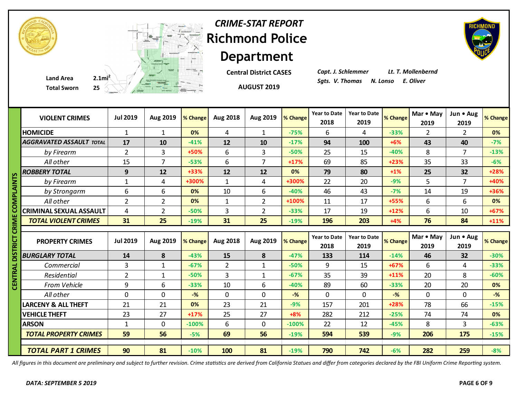

**Central District CASES**



*Capt. J. Schlemmer Lt. T. Mollenbernd*

|             | <b>Total Sworn</b>              |                 | $25$ and $\frac{1}{2}$ |          |                | AUGUST 2019    |          |                             |                             |          |                   |                   |                    |
|-------------|---------------------------------|-----------------|------------------------|----------|----------------|----------------|----------|-----------------------------|-----------------------------|----------|-------------------|-------------------|--------------------|
|             | <b>VIOLENT CRIMES</b>           | <b>Jul 2019</b> | Aug 2019               | % Change | Aug 2018       | Aug 2019       | % Change | <b>Year to Date</b><br>2018 | <b>Year to Date</b><br>2019 | % Change | Mar • May<br>2019 | Jun • Aug<br>2019 | % Change           |
|             | <b>HOMICIDE</b>                 | $\mathbf{1}$    | $\mathbf{1}$           | 0%       | 4              | 1              | $-75%$   | 6                           | 4                           | $-33%$   | $\overline{2}$    | $\overline{2}$    | 0%                 |
|             | <b>AGGRAVATED ASSAULT TOTAL</b> | 17              | 10                     | $-41%$   | 12             | 10             | $-17%$   | 94                          | 100                         | $+6%$    | 43                | 40                | $-7%$              |
|             | by Firearm                      | $\overline{2}$  | 3                      | +50%     | 6              | 3              | $-50%$   | 25                          | 15                          | $-40%$   | 8                 | $\overline{7}$    | $-13%$             |
|             | All other                       | 15              | 7                      | $-53%$   | 6              | $\overline{7}$ | $+17%$   | 69                          | 85                          | $+23%$   | 35                | 33                | $-6%$              |
| Ŵ           | <b>ROBBERY TOTAL</b>            | 9               | 12                     | +33%     | 12             | 12             | 0%       | 79                          | 80                          | $+1%$    | 25                | 32                | $+28%$             |
|             | by Firearm                      | $\mathbf{1}$    | 4                      | +300%    | $\mathbf{1}$   | $\overline{4}$ | +300%    | 22                          | 20                          | $-9%$    | 5                 | $\overline{7}$    | +40%               |
| <b>MINT</b> | by Strongarm                    | 6               | 6                      | 0%       | 10             | 6              | $-40%$   | 46                          | 43                          | $-7%$    | 14                | 19                | +36%               |
|             | All other                       | $\overline{2}$  | $\overline{2}$         | 0%       | $\mathbf{1}$   | $\overline{2}$ | +100%    | 11                          | 17                          | +55%     | 6                 | 6                 | 0%                 |
|             | <b>CRIMINAL SEXUAL ASSAULT</b>  | 4               | $\overline{2}$         | $-50%$   | 3              | $\overline{2}$ | $-33%$   | 17                          | 19                          | $+12%$   | 6                 | 10                | $+67%$             |
| ≅           | <b>TOTAL VIOLENT CRIMES</b>     | 31              | 25                     | $-19%$   | 31             | 25             | $-19%$   | 196                         | 203                         | $+4%$    | 76                | 84                | $+11%$             |
|             |                                 |                 |                        |          |                |                |          |                             |                             |          |                   |                   |                    |
| ឨ           |                                 |                 |                        |          |                |                |          |                             |                             |          |                   |                   |                    |
|             | <b>PROPERTY CRIMES</b>          | <b>Jul 2019</b> | Aug 2019               | % Change | Aug 2018       | Aug 2019       | % Change | <b>Year to Date</b><br>2018 | <b>Year to Date</b><br>2019 | % Change | Mar • May<br>2019 | Jun . Aug<br>2019 |                    |
|             | <b>BURGLARY TOTAL</b>           | 14              | 8                      | $-43%$   | 15             | 8              | $-47%$   | 133                         | 114                         | $-14%$   | 46                | 32                | $-30%$             |
|             | Commercial                      | 3               | 1                      | $-67%$   | $\overline{2}$ | $\mathbf{1}$   | $-50%$   | 9                           | 15                          | $+67%$   | 6                 | 4                 | $-33%$             |
|             | Residential                     | $\overline{2}$  | $\mathbf{1}$           | $-50%$   | 3              | $\mathbf{1}$   | $-67%$   | 35                          | 39                          | $+11%$   | 20                | 8                 | $-60%$             |
| .<br>تا     | From Vehicle                    | 9               | 6                      | $-33%$   | 10             | 6              | $-40%$   | 89                          | 60                          | $-33%$   | 20                | 20                | 0%                 |
|             | All other                       | 0               | $\mathbf 0$            | $-$ %    | $\mathbf 0$    | $\mathbf 0$    | $-$ %    | 0                           | $\Omega$                    | $-$ %    | $\mathbf 0$       | 0                 | $-$ %              |
|             | <b>LARCENY &amp; ALL THEFT</b>  | 21              | 21                     | 0%       | 23             | 21             | $-9%$    | 157                         | 201                         | +28%     | 78                | 66                | $-15%$             |
|             | <b>VEHICLE THEFT</b>            | 23              | 27                     | $+17%$   | 25             | 27             | $+8%$    | 282                         | 212                         | $-25%$   | 74                | 74                | 0%                 |
|             | <b>ARSON</b>                    | $\mathbf{1}$    | $\Omega$               | $-100%$  | 6              | $\mathbf 0$    | $-100%$  | 22                          | 12                          | $-45%$   | 8                 | 3                 | % Change<br>$-63%$ |
|             | <b>TOTAL PROPERTY CRIMES</b>    | 59              | 56                     | $-5%$    | 69             | 56             | $-19%$   | 594                         | 539                         | $-9%$    | 206               | 175               | $-15%$             |
|             | <b>TOTAL PART 1 CRIMES</b>      | 90              | 81                     | $-10%$   | 100            | 81             | $-19%$   | 790                         | 742                         | $-6%$    | 282               | 259               | $-8%$              |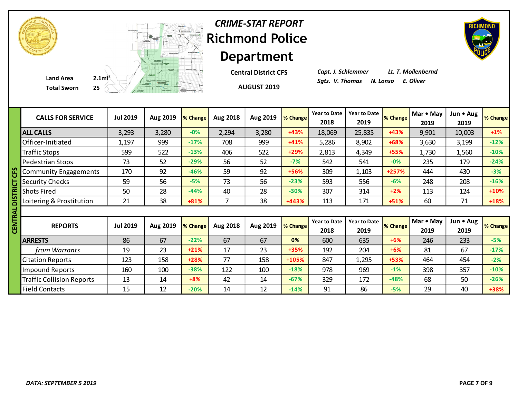

**Central District CFS**

*Capt. J. Schlemmer Lt. T. Mollenbernd*

|   | <b>CALLS FOR SERVICE</b>         | <b>Jul 2019</b> | Aug 2019 | % Change | Aug 2018       | Aug 2019 | % Change | <b>Year to Date</b><br>2018 | <b>Year to Date</b><br>2019 | % Change | Mar • May<br>2019 | Jun • Aug<br>2019 | % Change |
|---|----------------------------------|-----------------|----------|----------|----------------|----------|----------|-----------------------------|-----------------------------|----------|-------------------|-------------------|----------|
|   | <b>ALL CALLS</b>                 | 3,293           | 3,280    | $-0%$    | 2,294          | 3,280    | +43%     | 18,069                      | 25,835                      | +43%     | 9,901             | 10,003            | $+1\%$   |
|   | Officer-Initiated                | 1,197           | 999      | $-17%$   | 708            | 999      | $+41%$   | 5,286                       | 8,902                       | +68%     | 3,630             | 3,199             | $-12%$   |
|   | <b>Traffic Stops</b>             | 599             | 522      | $-13%$   | 406            | 522      | +29%     | 2,813                       | 4,349                       | +55%     | 1,730             | 1,560             | $-10%$   |
|   | Pedestrian Stops                 | 73              | 52       | $-29%$   | 56             | 52       | $-7%$    | 542                         | 541                         | $-0%$    | 235               | 179               | $-24%$   |
|   | <b>Community Engagements</b>     | 170             | 92       | $-46%$   | 59             | 92       | +56%     | 309                         | 1,103                       | +257%    | 444               | 430               | $-3%$    |
|   | <b>Security Checks</b>           | 59              | 56       | $-5%$    | 73             | 56       | $-23%$   | 593                         | 556                         | $-6%$    | 248               | 208               | $-16%$   |
|   | <b>Shots Fired</b>               | 50              | 28       | $-44%$   | 40             | 28       | $-30%$   | 307                         | 314                         | $+2%$    | 113               | 124               | $+10%$   |
|   | Loitering & Prostitution         | 21              | 38       | $+81%$   | $\overline{7}$ | 38       | +443%    | 113                         | 171                         | $+51%$   | 60                | 71                | $+18%$   |
| ৱ |                                  |                 |          |          |                |          |          |                             |                             |          |                   |                   |          |
|   | <b>REPORTS</b>                   | <b>Jul 2019</b> | Aug 2019 | % Change | Aug 2018       | Aug 2019 | % Change | <b>Year to Date</b><br>2018 | <b>Year to Date</b><br>2019 | % Change | Mar • May<br>2019 | Jun • Aug<br>2019 | % Change |
|   | <b>ARRESTS</b>                   | 86              | 67       | $-22%$   | 67             | 67       | 0%       | 600                         | 635                         | $+6%$    | 246               | 233               | $-5%$    |
|   | from Warrants                    | 19              | 23       | $+21%$   | 17             | 23       | +35%     | 192                         | 204                         | $+6%$    | 81                | 67                | $-17%$   |
|   | <b>Citation Reports</b>          | 123             | 158      | $+28%$   | 77             | 158      | +105%    | 847                         | 1,295                       | +53%     | 464               | 454               | $-2%$    |
|   | <b>Impound Reports</b>           | 160             | 100      | $-38%$   | 122            | 100      | $-18%$   | 978                         | 969                         | $-1%$    | 398               | 357               | $-10%$   |
|   | <b>Traffic Collision Reports</b> | 13              | 14       | $+8%$    | 42             | 14       | $-67%$   | 329                         | 172                         | $-48%$   | 68                | 50                | $-26%$   |
|   | <b>Field Contacts</b>            | 15              | 12       | $-20%$   | 14             | 12       | $-14%$   | 91                          | 86                          | $-5%$    | 29                | 40                | +38%     |



**AUGUST 2019**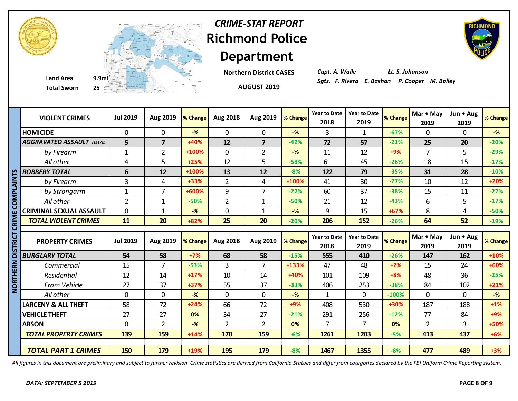



#### **Total Sworn 25**



#### **Richmond Police Department** *CRIME-STAT REPORT*

**Northern District CASES**

**AUGUST 2019**



*Capt. A. Walle Lt. S. Johanson Sgts. F. Rivera E. Bashan P. Cooper M. Bailey* **Land Area 9.9mi<sup>2</sup>**

|                        | <b>VIOLENT CRIMES</b>           | <b>Jul 2019</b> | Aug 2019       | % Change | Aug 2018        | Aug 2019       | % Change       | <b>Year to Date</b><br>2018 | <b>Year to Date</b><br>2019 | % Change | Mar • May<br>2019 | Jun • Aug<br>2019 | % Change |
|------------------------|---------------------------------|-----------------|----------------|----------|-----------------|----------------|----------------|-----------------------------|-----------------------------|----------|-------------------|-------------------|----------|
|                        | <b>HOMICIDE</b>                 | 0               | $\mathbf{0}$   | $-%$     | $\mathbf 0$     | $\mathbf{0}$   | $-$ %          | 3                           | $\mathbf{1}$                | $-67%$   | $\Omega$          | 0                 | $-$ %    |
|                        | <b>AGGRAVATED ASSAULT TOTAL</b> | 5               | $\overline{7}$ | +40%     | 12              | $\overline{7}$ | $-42%$         | 72                          | 57                          | $-21%$   | 25                | 20                | $-20%$   |
|                        | by Firearm                      | 1               | $\overline{2}$ | +100%    | $\mathbf 0$     | $\overline{2}$ | $-\frac{9}{6}$ | 11                          | 12                          | $+9%$    | $\overline{7}$    | 5                 | $-29%$   |
|                        | All other                       | 4               | 5              | $+25%$   | 12              | 5              | $-58%$         | 61                          | 45                          | $-26%$   | 18                | 15                | $-17%$   |
| n                      | <b>ROBBERY TOTAL</b>            | 6               | 12             | +100%    | 13              | 12             | $-8%$          | 122                         | 79                          | $-35%$   | 31                | 28                | $-10%$   |
|                        | by Firearm                      | 3               | 4              | +33%     | $\overline{2}$  | 4              | +100%          | 41                          | 30                          | $-27%$   | 10                | 12                | $+20%$   |
|                        | by Strongarm                    | $\mathbf{1}$    | $\overline{7}$ | +600%    | 9               | $\overline{7}$ | $-22%$         | 60                          | 37                          | $-38%$   | 15                | 11                | $-27%$   |
|                        | All other                       | $\overline{2}$  | 1              | $-50%$   | $\overline{2}$  | 1              | $-50%$         | 21                          | 12                          | $-43%$   | 6                 | 5                 | $-17%$   |
|                        | <b>CRIMINAL SEXUAL ASSAULT</b>  | 0               | 1              | $-$ %    | $\mathbf 0$     | 1              | $-$ %          | 9                           | 15                          | $+67%$   | 8                 | 4                 | $-50%$   |
|                        | <b>TOTAL VIOLENT CRIMES</b>     | 11              | 20             | +82%     | 25              | 20             | $-20%$         | 206                         | 152                         | $-26%$   | 64                | 52                | $-19%$   |
|                        |                                 |                 |                |          |                 |                |                |                             |                             |          |                   |                   |          |
|                        |                                 |                 |                |          |                 |                |                |                             |                             |          |                   |                   |          |
| <u>ה</u><br>≌          | <b>PROPERTY CRIMES</b>          | <b>Jul 2019</b> | Aug 2019       | % Change | <b>Aug 2018</b> | Aug 2019       | % Change       | <b>Year to Date</b><br>2018 | <b>Year to Date</b><br>2019 | % Change | Mar • May<br>2019 | Jun • Aug<br>2019 |          |
|                        | <b>BURGLARY TOTAL</b>           | 54              | 58             | $+7%$    | 68              | 58             | $-15%$         | 555                         | 410                         | $-26%$   | 147               | 162               | $+10%$   |
|                        | Commercial                      | 15              | 7              | $-53%$   | 3               | 7              | +133%          | 47                          | 48                          | $+2%$    | 15                | 24                | +60%     |
|                        | Residential                     | 12              | 14             | $+17%$   | 10              | 14             | +40%           | 101                         | 109                         | $+8%$    | 48                | 36                | $-25%$   |
| M<br>ER<br>Ī<br>.<br>6 | From Vehicle                    | 27              | 37             | +37%     | 55              | 37             | $-33%$         | 406                         | 253                         | $-38%$   | 84                | 102               | $+21%$   |
| z                      | All other                       | 0               | $\mathbf 0$    | $-%$     | $\mathbf 0$     | $\mathbf{0}$   | $-$ %          | $\mathbf{1}$                | $\Omega$                    | $-100%$  | $\mathbf 0$       | $\mathbf 0$       | $-$ %    |
|                        | <b>LARCENY &amp; ALL THEFT</b>  | 58              | 72             | $+24%$   | 66              | 72             | $+9%$          | 408                         | 530                         | +30%     | 187               | 188               | $+1%$    |
|                        | <b>VEHICLE THEFT</b>            | 27              | 27             | 0%       | 34              | 27             | $-21%$         | 291                         | 256                         | $-12%$   | 77                | 84                | $+9%$    |
|                        | <b>ARSON</b>                    | $\Omega$        | $\overline{2}$ | $-%$     | $\overline{2}$  | $\overline{2}$ | 0%             | $\overline{7}$              | $\overline{7}$              | 0%       | $\overline{2}$    | 3                 | +50%     |
|                        | <b>TOTAL PROPERTY CRIMES</b>    | 139             | 159            | $+14%$   | 170             | 159            | $-6%$          | 1261                        | 1203                        | $-5%$    | 413               | 437               | $+6%$    |
|                        |                                 |                 |                |          |                 |                |                |                             |                             |          |                   |                   | % Change |